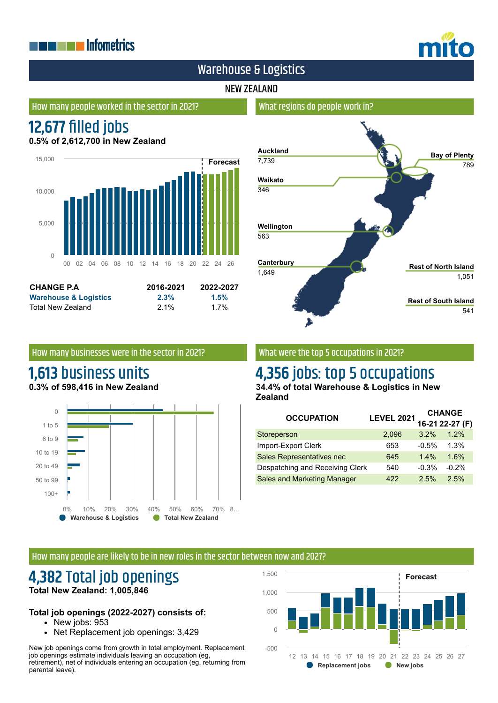# **THE EXPLOSITION ENERGY INC.**



# Warehouse & Logistics

## NEW ZEALAND

#### How many people worked in the sector in 2021?

# **12,677 filled jobs**

**0.5% of 2,612,700 in New Zealand**



| <b>CHANGE P.A</b>                | 2016-2021 | 2022-2027 |
|----------------------------------|-----------|-----------|
| <b>Warehouse &amp; Logistics</b> | 2.3%      | 1.5%      |
| Total New Zealand                | $2.1\%$   | $1.7\%$   |

# **Auckland** 7,739 **Waikato** 346 **Wellington** 563 **Canterbury** 1,649 **Bay of Plenty** 789 **Rest of North Island** 1,051 **Rest of South Island** 541

#### How many businesses were in the sector in 2021?

## **1,613** business units **0.3% of 598,416 in New Zealand**



## What were the top 5 occupations in 2021?

What regions do people work in?

# **4,356** jobs: top 5 occupations

**34.4% of total Warehouse & Logistics in New Zealand**

| <b>OCCUPATION</b>                  | <b>LEVEL 2021</b> | <b>CHANGE</b> |                 |
|------------------------------------|-------------------|---------------|-----------------|
|                                    |                   |               | 16-21 22-27 (F) |
| Storeperson                        | 2,096             | 3.2%          | 1.2%            |
| Import-Export Clerk                | 653               | $-0.5%$       | 1.3%            |
| Sales Representatives nec          | 645               | 1.4%          | 1.6%            |
| Despatching and Receiving Clerk    | 540               | $-0.3%$       | $-0.2%$         |
| <b>Sales and Marketing Manager</b> | 422               | 2.5%          | 2.5%            |

#### How many people are likely to be in new roles in the sector between now and 2027?

## **4,382** Total job openings **Total New Zealand: 1,005,846**

#### **Total job openings (2022-2027) consists of:**

- New jobs:  $953$
- Net Replacement job openings: 3,429

New job openings come from growth in total employment. Replacement job openings estimate individuals leaving an occupation (eg, retirement), net of individuals entering an occupation (eg, returning from parental leave).